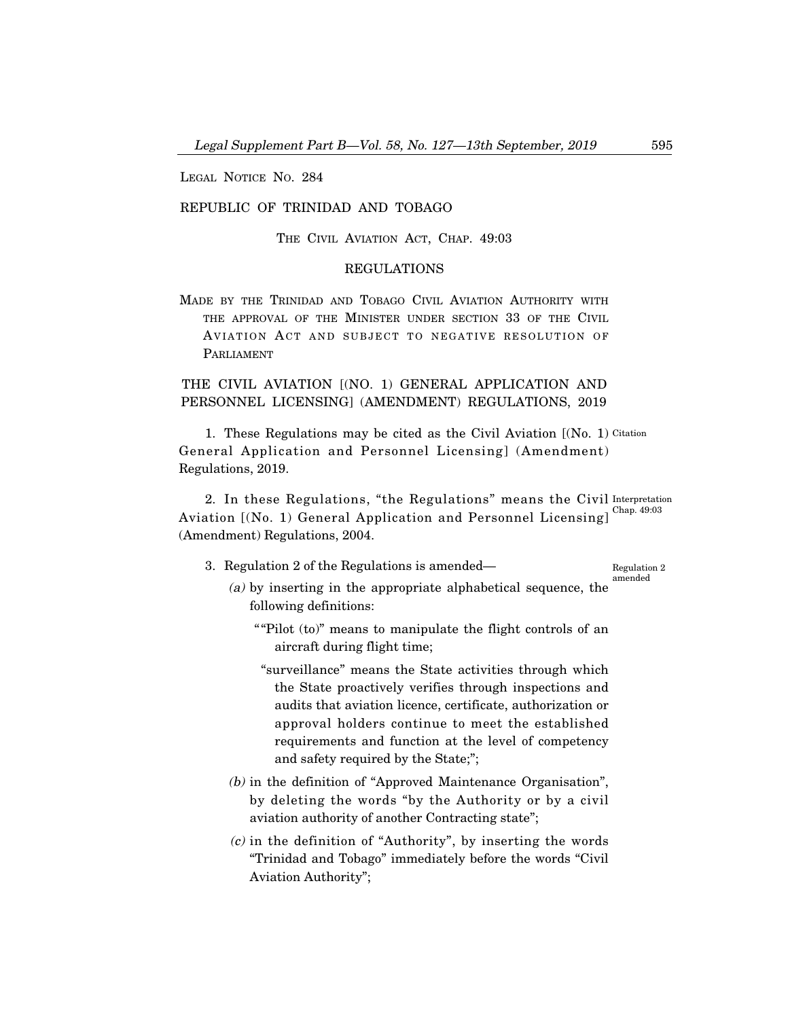LEGAL NOTICE NO. 284

### REPUBLIC OF TRINIDAD AND TOBAGO

THE CIVIL AVIATION ACT, CHAP. 49:03

## REGULATIONS

MADE BY THE TRINIDAD AND TOBAGO CIVIL AVIATION AUTHORITY WITH THE APPROVAL OF THE MINISTER UNDER SECTION 33 OF THE CIVIL AVIATION ACT AND SUBJECT TO NEGATIVE RESOLUTION OF PARLIAMENT

# THE CIVIL AVIATION [(NO. 1) GENERAL APPLICATION AND PERSONNEL LICENSING] (AMENDMENT) REGULATIONS, 2019

1. These Regulations may be cited as the Civil Aviation [(No. 1) Citation General Application and Personnel Licensing] (Amendment) Regulations, 2019.

2. In these Regulations, "the Regulations" means the Civil Interpretation Aviation [(No. 1) General Application and Personnel Licensing]<sup>Chap. 49:03</sup> (Amendment) Regulations, 2004.

- 3. Regulation 2 of the Regulations is amended– Regulation 2 amended
	- (a) by inserting in the appropriate alphabetical sequence, the following definitions:
		- ""Pilot (to)" means to manipulate the flight controls of an aircraft during flight time;
		- "surveillance" means the State activities through which the State proactively verifies through inspections and audits that aviation licence, certificate, authorization or approval holders continue to meet the established requirements and function at the level of competency and safety required by the State;";
	- (b) in the definition of "Approved Maintenance Organisation", by deleting the words "by the Authority or by a civil aviation authority of another Contracting state";
	- $(c)$  in the definition of "Authority", by inserting the words "Trinidad and Tobago" immediately before the words "Civil Aviation Authority";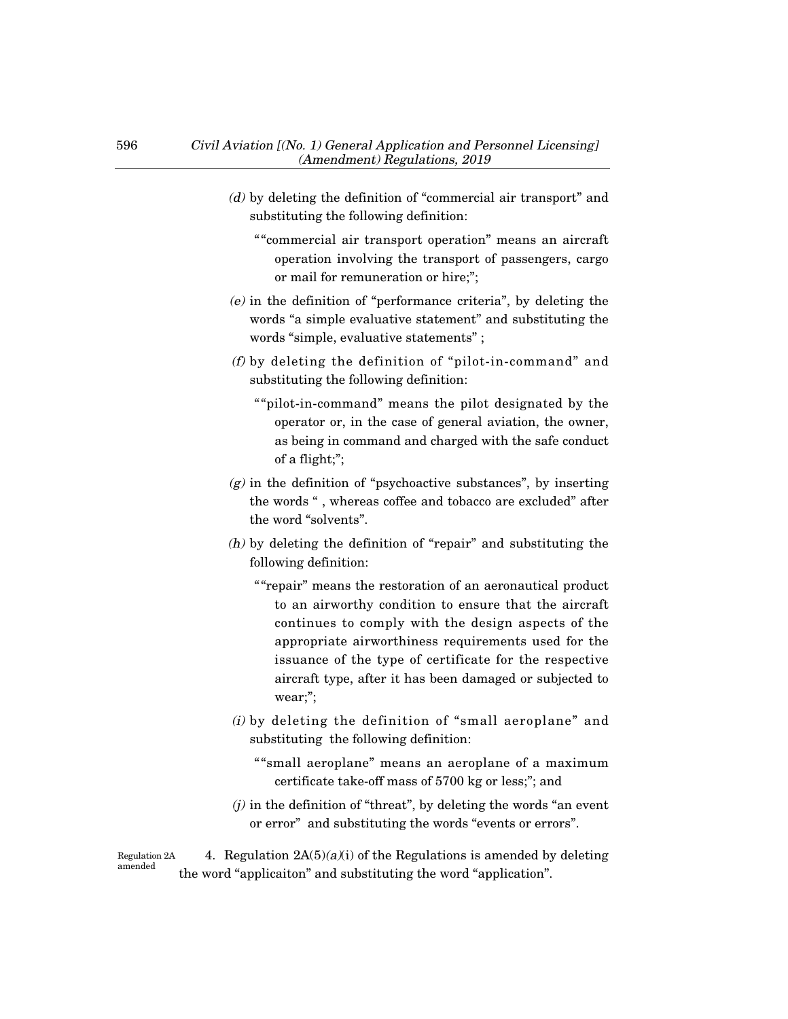- (d) by deleting the definition of "commercial air transport" and substituting the following definition:
	- ""commercial air transport operation" means an aircraft operation involving the transport of passengers, cargo or mail for remuneration or hire;";
- (e) in the definition of "performance criteria", by deleting the words "a simple evaluative statement" and substituting the words "simple, evaluative statements" ;
- (f) by deleting the definition of "pilot-in-command" and substituting the following definition:
	- ""pilot-in-command" means the pilot designated by the operator or, in the case of general aviation, the owner, as being in command and charged with the safe conduct of a flight;";
- $(g)$  in the definition of "psychoactive substances", by inserting the words " , whereas coffee and tobacco are excluded" after the word "solvents".
- (h) by deleting the definition of "repair" and substituting the following definition:
	- ""repair" means the restoration of an aeronautical product to an airworthy condition to ensure that the aircraft continues to comply with the design aspects of the appropriate airworthiness requirements used for the issuance of the type of certificate for the respective aircraft type, after it has been damaged or subjected to wear;";
- (i) by deleting the definition of "small aeroplane" and substituting the following definition:
	- ""small aeroplane" means an aeroplane of a maximum certificate take-off mass of 5700 kg or less;"; and
- $(j)$  in the definition of "threat", by deleting the words "an event" or error" and substituting the words "events or errors".

4. Regulation  $2A(5)(a)(i)$  of the Regulations is amended by deleting the word "applicaiton" and substituting the word "application". Regulation 2A amended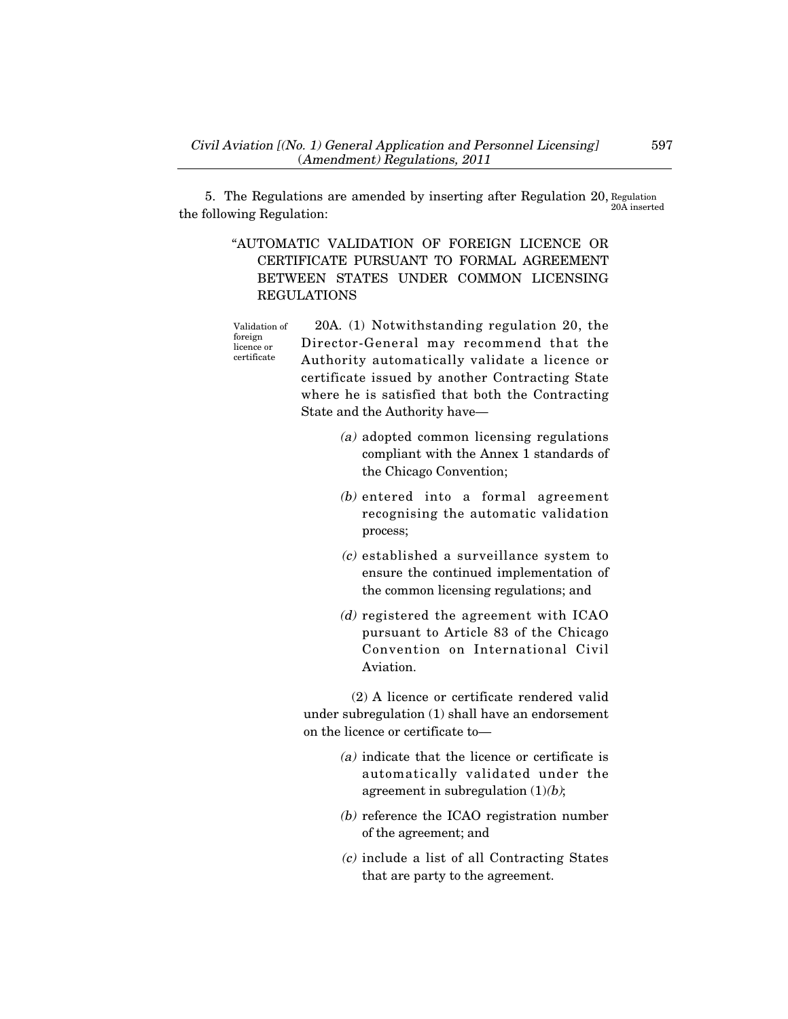5. The Regulations are amended by inserting after Regulation 20, Regulation the following Regulation: 20A inserted

> "AUTOMATIC VALIDATION OF FOREIGN LICENCE OR CERTIFICATE PURSUANT TO FORMAL AGREEMENT BETWEEN STATES UNDER COMMON LICENSING REGULATIONS

> 20A. (1) Notwithstanding regulation 20, the Director-General may recommend that the Authority automatically validate a licence or certificate issued by another Contracting State where he is satisfied that both the Contracting State and the Authority have– Validation of foreign licence or certificate

- (a) adopted common licensing regulations compliant with the Annex 1 standards of the Chicago Convention;
- (b) entered into a formal agreement recognising the automatic validation process;
- (c) established a surveillance system to ensure the continued implementation of the common licensing regulations; and
- (d) registered the agreement with ICAO pursuant to Article 83 of the Chicago Convention on International Civil Aviation.

(2) A licence or certificate rendered valid under subregulation (1) shall have an endorsement on the licence or certificate to–

- (a) indicate that the licence or certificate is automatically validated under the agreement in subregulation  $(1)(b)$ ;
- (b) reference the ICAO registration number of the agreement; and
- (c) include a list of all Contracting States that are party to the agreement.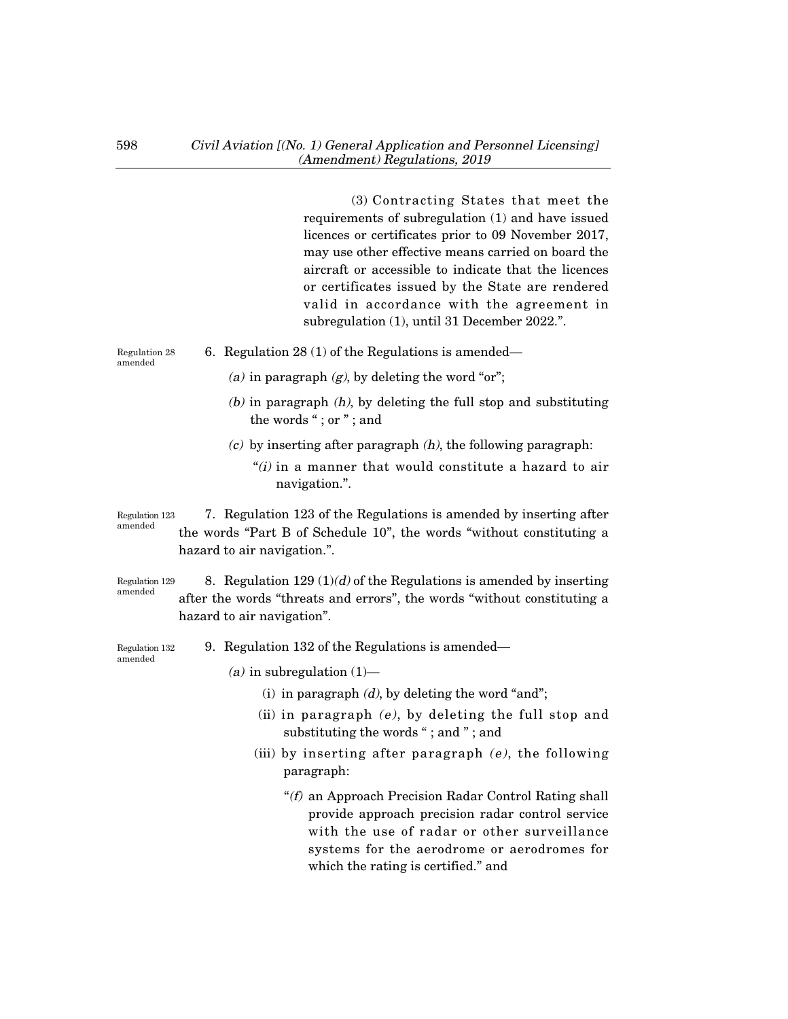(3) Contracting States that meet the requirements of subregulation (1) and have issued licences or certificates prior to 09 November 2017, may use other effective means carried on board the aircraft or accessible to indicate that the licences or certificates issued by the State are rendered valid in accordance with the agreement in subregulation (1), until 31 December 2022.". 6. Regulation 28 (1) of the Regulations is amended– (a) in paragraph  $(g)$ , by deleting the word "or";  $(b)$  in paragraph  $(h)$ , by deleting the full stop and substituting the words "; or "; and  $(c)$  by inserting after paragraph  $(h)$ , the following paragraph: " $(i)$  in a manner that would constitute a hazard to air navigation.". 7. Regulation 123 of the Regulations is amended by inserting after the words "Part B of Schedule 10", the words "without constituting a hazard to air navigation.". 8. Regulation 129  $(1)(d)$  of the Regulations is amended by inserting after the words "threats and errors", the words "without constituting a hazard to air navigation". 9. Regulation 132 of the Regulations is amended– (a) in subregulation  $(1)$ — (i) in paragraph  $(d)$ , by deleting the word "and"; (ii) in paragraph  $(e)$ , by deleting the full stop and substituting the words "; and "; and (iii) by inserting after paragraph  $(e)$ , the following paragraph: "(f) an Approach Precision Radar Control Rating shall provide approach precision radar control service with the use of radar or other surveillance Regulation 123 amended Regulation 28 amended Regulation 129 amended Regulation 132 amended

systems for the aerodrome or aerodromes for

which the rating is certified." and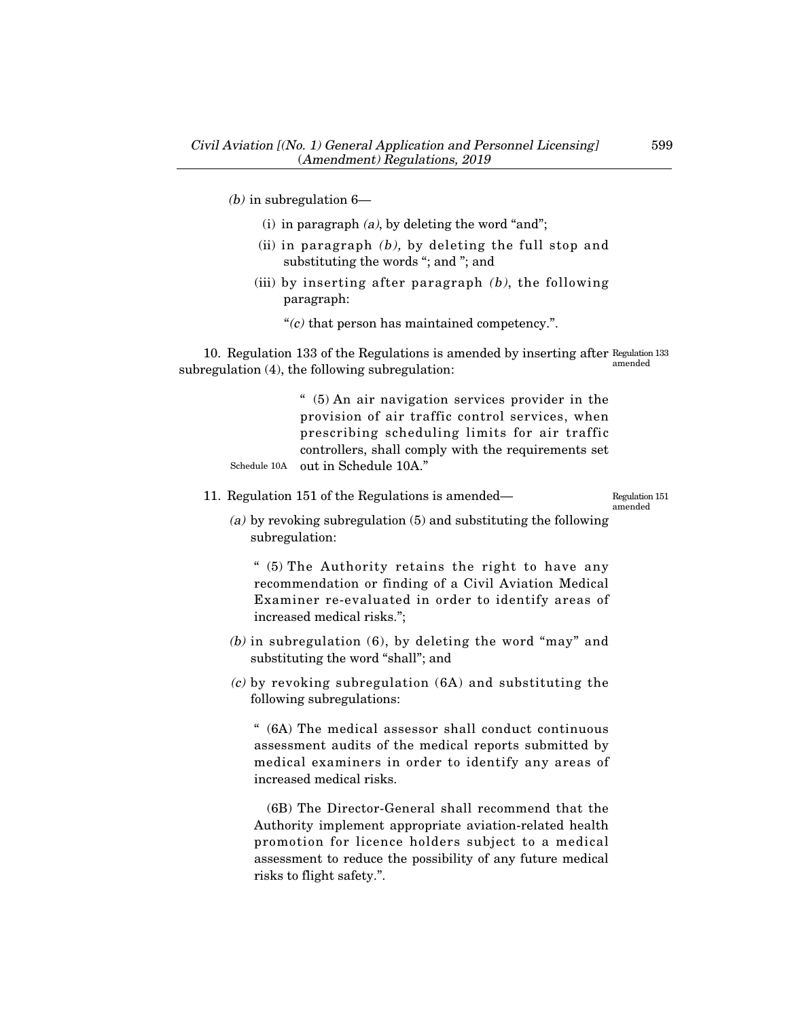(*b*) in subregulation  $6-$ 

- (i) in paragraph  $(a)$ , by deleting the word "and";
- (ii) in paragraph  $(b)$ , by deleting the full stop and substituting the words "; and "; and
- (iii) by inserting after paragraph  $(b)$ , the following paragraph:

" $(c)$  that person has maintained competency.".

10. Regulation 133 of the Regulations is amended by inserting after Regulation 133 subregulation (4), the following subregulation: amended

> " (5) An air navigation services provider in the provision of air traffic control services, when prescribing scheduling limits for air traffic controllers, shall comply with the requirements set out in Schedule 10A." Schedule 10A

11. Regulation 151 of the Regulations is amended–

Regulation 151 amended

(a) by revoking subregulation (5) and substituting the following subregulation:

" (5) The Authority retains the right to have any recommendation or finding of a Civil Aviation Medical Examiner re-evaluated in order to identify areas of increased medical risks.";

- (b) in subregulation (6), by deleting the word "may" and substituting the word "shall"; and
- (c) by revoking subregulation (6A) and substituting the following subregulations:

" (6A) The medical assessor shall conduct continuous assessment audits of the medical reports submitted by medical examiners in order to identify any areas of increased medical risks.

(6B) The Director-General shall recommend that the Authority implement appropriate aviation-related health promotion for licence holders subject to a medical assessment to reduce the possibility of any future medical risks to flight safety.".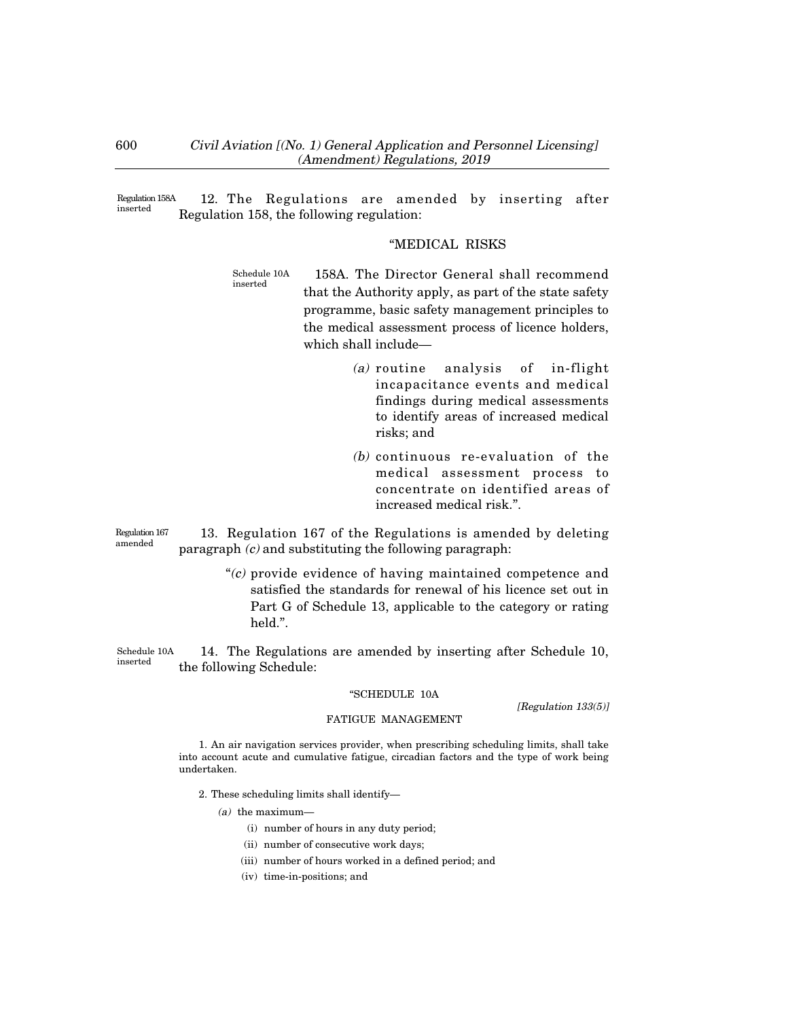12. The Regulations are amended by inserting after Regulation 158, the following regulation: Regulation 158A inserted

### "MEDICAL RISKS

- 158A. The Director General shall recommend that the Authority apply, as part of the state safety programme, basic safety management principles to the medical assessment process of licence holders, which shall include– Schedule 10A inserted
	- (a) routine analysis of in-flight incapacitance events and medical findings during medical assessments to identify areas of increased medical risks; and
	- (b) continuous re-evaluation of the medical assessment process to concentrate on identified areas of increased medical risk.".

Regulation 167 amended

13. Regulation 167 of the Regulations is amended by deleting paragraph  $(c)$  and substituting the following paragraph:

> $C$  provide evidence of having maintained competence and satisfied the standards for renewal of his licence set out in Part G of Schedule 13, applicable to the category or rating held.".

14. The Regulations are amended by inserting after Schedule 10, the following Schedule: Schedule 10A inserted

#### "SCHEDULE 10A

[Regulation 133(5)]

#### FATIGUE MANAGEMENT

1. An air navigation services provider, when prescribing scheduling limits, shall take into account acute and cumulative fatigue, circadian factors and the type of work being undertaken.

- 2. These scheduling limits shall identify–
	- $(a)$  the maximum—
		- (i) number of hours in any duty period;
		- (ii) number of consecutive work days;
		- (iii) number of hours worked in a defined period; and
		- (iv) time-in-positions; and